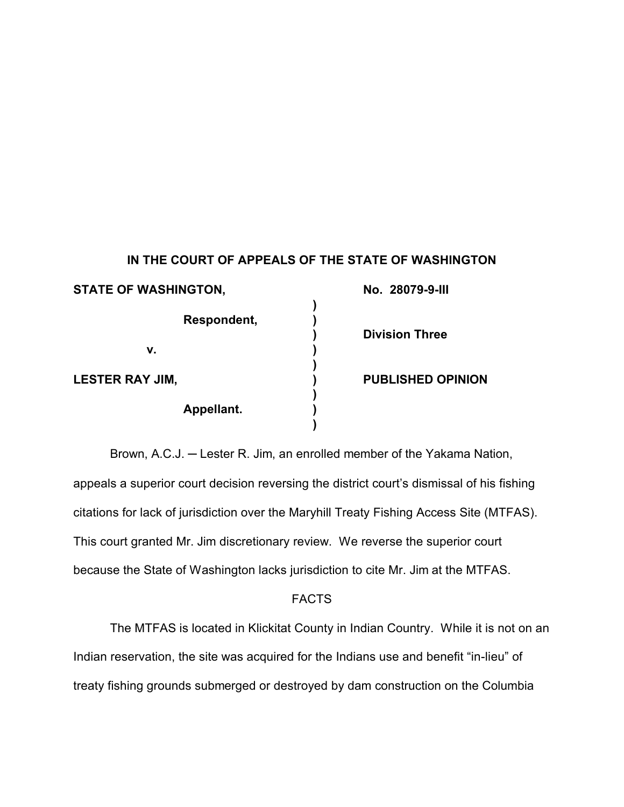## **IN THE COURT OF APPEALS OF THE STATE OF WASHINGTON**

| <b>STATE OF WASHINGTON,</b> | No. 28079-9-III          |  |
|-----------------------------|--------------------------|--|
| Respondent,                 |                          |  |
|                             | <b>Division Three</b>    |  |
| v.                          |                          |  |
|                             |                          |  |
| <b>LESTER RAY JIM,</b>      | <b>PUBLISHED OPINION</b> |  |
|                             |                          |  |
| Appellant.                  |                          |  |
|                             |                          |  |

Brown, A.C.J. **─** Lester R. Jim, an enrolled member of the Yakama Nation, appeals a superior court decision reversing the district court's dismissal of his fishing citations for lack of jurisdiction over the Maryhill Treaty Fishing Access Site (MTFAS). This court granted Mr. Jim discretionary review. We reverse the superior court because the State of Washington lacks jurisdiction to cite Mr. Jim at the MTFAS.

## FACTS

The MTFAS is located in Klickitat County in Indian Country. While it is not on an Indian reservation, the site was acquired for the Indians use and benefit "in-lieu" of treaty fishing grounds submerged or destroyed by dam construction on the Columbia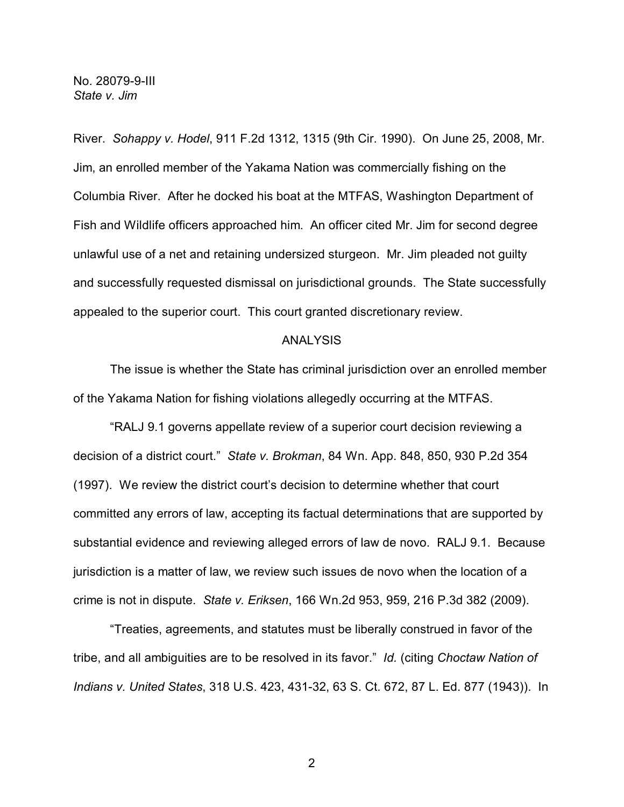River. *Sohappy v. Hodel*, 911 F.2d 1312, 1315 (9th Cir. 1990). On June 25, 2008, Mr. Jim, an enrolled member of the Yakama Nation was commercially fishing on the Columbia River. After he docked his boat at the MTFAS, Washington Department of Fish and Wildlife officers approached him. An officer cited Mr. Jim for second degree unlawful use of a net and retaining undersized sturgeon. Mr. Jim pleaded not guilty and successfully requested dismissal on jurisdictional grounds. The State successfully appealed to the superior court. This court granted discretionary review.

## ANALYSIS

The issue is whether the State has criminal jurisdiction over an enrolled member of the Yakama Nation for fishing violations allegedly occurring at the MTFAS.

"RALJ 9.1 governs appellate review of a superior court decision reviewing a decision of a district court." *State v. Brokman*, 84 Wn. App. 848, 850, 930 P.2d 354 (1997). We review the district court's decision to determine whether that court committed any errors of law, accepting its factual determinations that are supported by substantial evidence and reviewing alleged errors of law de novo. RALJ 9.1. Because jurisdiction is a matter of law, we review such issues de novo when the location of a crime is not in dispute. *State v. Eriksen*, 166 Wn.2d 953, 959, 216 P.3d 382 (2009).

"Treaties, agreements, and statutes must be liberally construed in favor of the tribe, and all ambiguities are to be resolved in its favor." *Id.* (citing *Choctaw Nation of Indians v. United States*, 318 U.S. 423, 431-32, 63 S. Ct. 672, 87 L. Ed. 877 (1943)). In

2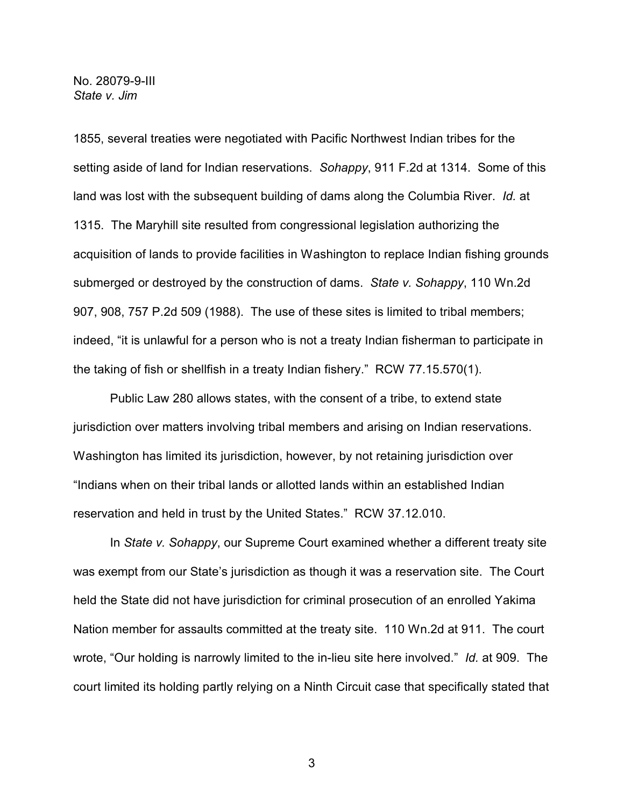1855, several treaties were negotiated with Pacific Northwest Indian tribes for the setting aside of land for Indian reservations. *Sohappy*, 911 F.2d at 1314. Some of this land was lost with the subsequent building of dams along the Columbia River. *Id.* at 1315. The Maryhill site resulted from congressional legislation authorizing the acquisition of lands to provide facilities in Washington to replace Indian fishing grounds submerged or destroyed by the construction of dams. *State v. Sohappy*, 110 Wn.2d 907, 908, 757 P.2d 509 (1988). The use of these sites is limited to tribal members; indeed, "it is unlawful for a person who is not a treaty Indian fisherman to participate in the taking of fish or shellfish in a treaty Indian fishery." RCW 77.15.570(1).

Public Law 280 allows states, with the consent of a tribe, to extend state jurisdiction over matters involving tribal members and arising on Indian reservations. Washington has limited its jurisdiction, however, by not retaining jurisdiction over "Indians when on their tribal lands or allotted lands within an established Indian reservation and held in trust by the United States." RCW 37.12.010.

In *State v. Sohappy*, our Supreme Court examined whether a different treaty site was exempt from our State's jurisdiction as though it was a reservation site. The Court held the State did not have jurisdiction for criminal prosecution of an enrolled Yakima Nation member for assaults committed at the treaty site. 110 Wn.2d at 911. The court wrote, "Our holding is narrowly limited to the in-lieu site here involved." *Id.* at 909. The court limited its holding partly relying on a Ninth Circuit case that specifically stated that

3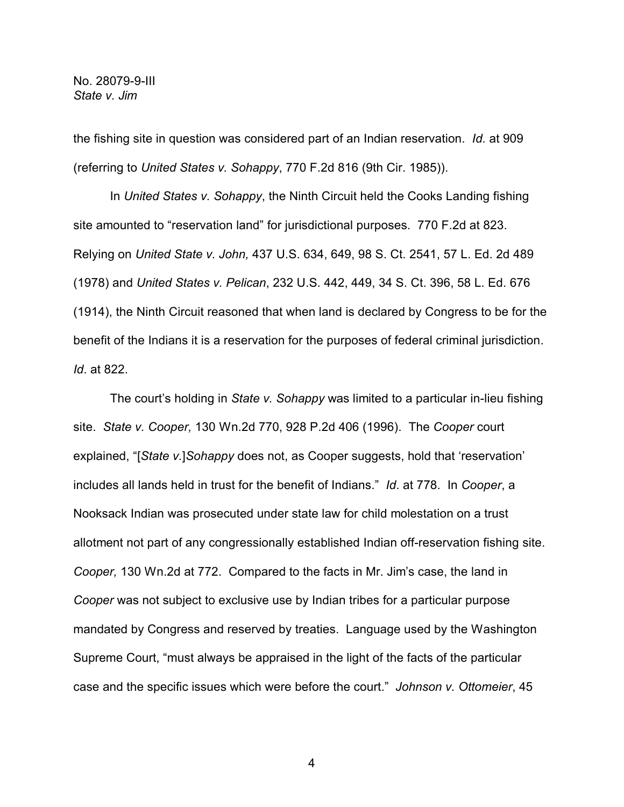the fishing site in question was considered part of an Indian reservation. *Id.* at 909 (referring to *United States v. Sohappy*, 770 F.2d 816 (9th Cir. 1985)).

In *United States v. Sohappy*, the Ninth Circuit held the Cooks Landing fishing site amounted to "reservation land" for jurisdictional purposes. 770 F.2d at 823. Relying on *United State v. John,* 437 U.S. 634, 649, 98 S. Ct. 2541, 57 L. Ed. 2d 489 (1978) and *United States v. Pelican*, 232 U.S. 442, 449, 34 S. Ct. 396, 58 L. Ed. 676 (1914), the Ninth Circuit reasoned that when land is declared by Congress to be for the benefit of the Indians it is a reservation for the purposes of federal criminal jurisdiction. *Id*. at 822.

The court's holding in *State v. Sohappy* was limited to a particular in-lieu fishing site. *State v. Cooper,* 130 Wn.2d 770, 928 P.2d 406 (1996). The *Cooper* court explained, "[*State v.*]*Sohappy* does not, as Cooper suggests, hold that 'reservation' includes all lands held in trust for the benefit of Indians." *Id*. at 778. In *Cooper*, a Nooksack Indian was prosecuted under state law for child molestation on a trust allotment not part of any congressionally established Indian off-reservation fishing site. *Cooper,* 130 Wn.2d at 772. Compared to the facts in Mr. Jim's case, the land in *Cooper* was not subject to exclusive use by Indian tribes for a particular purpose mandated by Congress and reserved by treaties. Language used by the Washington Supreme Court, "must always be appraised in the light of the facts of the particular case and the specific issues which were before the court." *Johnson v. Ottomeier*, 45

4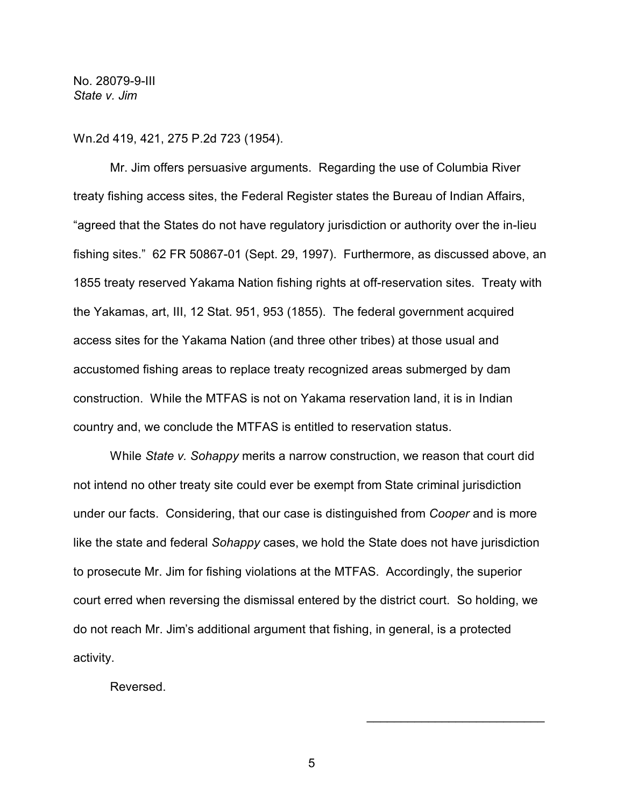Wn.2d 419, 421, 275 P.2d 723 (1954).

Mr. Jim offers persuasive arguments. Regarding the use of Columbia River treaty fishing access sites, the Federal Register states the Bureau of Indian Affairs, "agreed that the States do not have regulatory jurisdiction or authority over the in-lieu fishing sites." 62 FR 50867-01 (Sept. 29, 1997). Furthermore, as discussed above, an 1855 treaty reserved Yakama Nation fishing rights at off-reservation sites. Treaty with the Yakamas, art, III, 12 Stat. 951, 953 (1855). The federal government acquired access sites for the Yakama Nation (and three other tribes) at those usual and accustomed fishing areas to replace treaty recognized areas submerged by dam construction. While the MTFAS is not on Yakama reservation land, it is in Indian country and, we conclude the MTFAS is entitled to reservation status.

While *State v. Sohappy* merits a narrow construction, we reason that court did not intend no other treaty site could ever be exempt from State criminal jurisdiction under our facts. Considering, that our case is distinguished from *Cooper* and is more like the state and federal *Sohappy* cases, we hold the State does not have jurisdiction to prosecute Mr. Jim for fishing violations at the MTFAS. Accordingly, the superior court erred when reversing the dismissal entered by the district court. So holding, we do not reach Mr. Jim's additional argument that fishing, in general, is a protected activity.

Reversed.

5

 $\overline{\phantom{a}}$  , where  $\overline{\phantom{a}}$  , where  $\overline{\phantom{a}}$  , where  $\overline{\phantom{a}}$